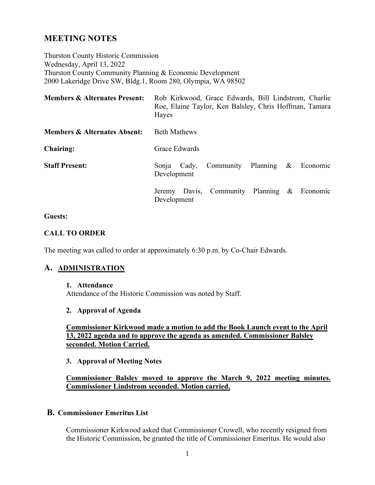# **MEETING NOTES**

Thurston County Historic Commission Wednesday, April 13, 2022 Thurston County Community Planning & Economic Development 2000 Lakeridge Drive SW, Bldg.1, Room 280, Olympia, WA 98502

| <b>Members &amp; Alternates Present:</b> | Rob Kirkwood, Grace Edwards, Bill Lindstrom, Charlie<br>Roe, Elaine Taylor, Ken Balsley, Chris Hoffman, Tamara<br>Hayes |
|------------------------------------------|-------------------------------------------------------------------------------------------------------------------------|
| <b>Members &amp; Alternates Absent:</b>  | <b>Beth Mathews</b>                                                                                                     |
| <b>Chairing:</b>                         | Grace Edwards                                                                                                           |
| <b>Staff Present:</b>                    | Community Planning<br>$\boldsymbol{\mathcal{X}}$<br>Economic<br>Cady,<br>Sonja<br>Development                           |
|                                          | Jeremy Davis, Community Planning & Economic<br>Development                                                              |

#### **Guests:**

#### **CALL TO ORDER**

The meeting was called to order at approximately 6:30 p.m. by Co-Chair Edwards.

#### **A. ADMINISTRATION**

#### **1. Attendance**

Attendance of the Historic Commission was noted by Staff.

#### **2. Approval of Agenda**

**Commissioner Kirkwood made a motion to add the Book Launch event to the April 13, 2022 agenda and to approve the agenda as amended. Commissioner Balsley seconded. Motion Carried.** 

#### **3. Approval of Meeting Notes**

# **Commissioner Balsley moved to approve the March 9, 2022 meeting minutes. Commissioner Lindstrom seconded. Motion carried.**

#### **B. Commissioner Emeritus List**

Commissioner Kirkwood asked that Commissioner Crowell, who recently resigned from the Historic Commission, be granted the title of Commissioner Emeritus. He would also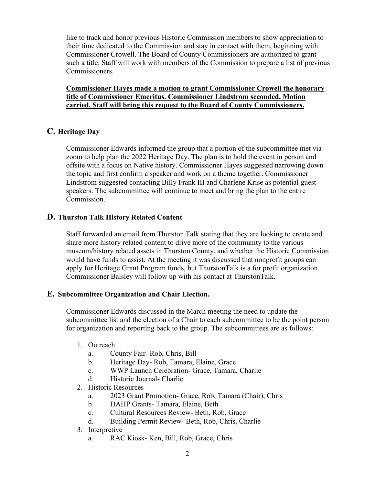like to track and honor previous Historic Commission members to show appreciation to their time dedicated to the Commission and stay in contact with them, beginning with Commissioner Crowell. The Board of County Commissioners are authorized to grant such a title. Staff will work with members of the Commission to prepare a list of previous Commissioners.

**Commissioner Hayes made a motion to grant Commissioner Crowell the honorary title of Commissioner Emeritus. Commissioner Lindstrom seconded. Motion carried. Staff will bring this request to the Board of County Commissioners.**

# **C. Heritage Day**

Commissioner Edwards informed the group that a portion of the subcommittee met via zoom to help plan the 2022 Heritage Day. The plan is to hold the event in person and offsite with a focus on Native history. Commissioner Hayes suggested narrowing down the topic and first confirm a speaker and work on a theme together. Commissioner Lindstrom suggested contacting Billy Frank III and Charlene Krise as potential guest speakers. The subcommittee will continue to meet and bring the plan to the entire Commission.

### **D. Thurston Talk History Related Content**

Staff forwarded an email from Thurston Talk stating that they are looking to create and share more history related content to drive more of the community to the various museum/history related assets in Thurston County, and whether the Historic Commission would have funds to assist. At the meeting it was discussed that nonprofit groups can apply for Heritage Grant Program funds, but ThurstonTalk is a for profit organization. Commissioner Balsley will follow up with his contact at ThurstonTalk.

#### **E. Subcommittee Organization and Chair Election.**

Commissioner Edwards discussed in the March meeting the need to update the subcommittee list and the election of a Chair to each subcommittee to be the point person for organization and reporting back to the group. The subcommittees are as follows:

- 1. Outreach
	- a. County Fair- Rob, Chris, Bill
	- b. Heritage Day- Rob, Tamara, Elaine, Grace
	- c. WWP Launch Celebration- Grace, Tamara, Charlie
	- d. Historic Journal- Charlie
- 2. Historic Resources
	- a. 2023 Grant Promotion- Grace, Rob, Tamara (Chair), Chris
	- b. DAHP Grants- Tamara, Elaine, Beth
	- c. Cultural Resources Review- Beth, Rob, Grace
	- d. Building Permit Review- Beth, Rob, Chris, Charlie
- 3. Interpretive
	- a. RAC Kiosk- Ken, Bill, Rob, Grace, Chris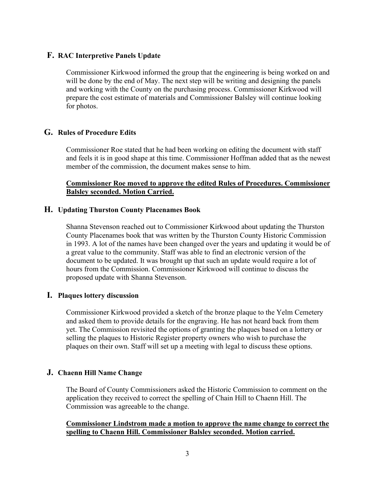# **F. RAC Interpretive Panels Update**

Commissioner Kirkwood informed the group that the engineering is being worked on and will be done by the end of May. The next step will be writing and designing the panels and working with the County on the purchasing process. Commissioner Kirkwood will prepare the cost estimate of materials and Commissioner Balsley will continue looking for photos.

# **G. Rules of Procedure Edits**

Commissioner Roe stated that he had been working on editing the document with staff and feels it is in good shape at this time. Commissioner Hoffman added that as the newest member of the commission, the document makes sense to him.

### **Commissioner Roe moved to approve the edited Rules of Procedures. Commissioner Balsley seconded. Motion Carried.**

# **H. Updating Thurston County Placenames Book**

Shanna Stevenson reached out to Commissioner Kirkwood about updating the Thurston County Placenames book that was written by the Thurston County Historic Commission in 1993. A lot of the names have been changed over the years and updating it would be of a great value to the community. Staff was able to find an electronic version of the document to be updated. It was brought up that such an update would require a lot of hours from the Commission. Commissioner Kirkwood will continue to discuss the proposed update with Shanna Stevenson.

# **I. Plaques lottery discussion**

Commissioner Kirkwood provided a sketch of the bronze plaque to the Yelm Cemetery and asked them to provide details for the engraving. He has not heard back from them yet. The Commission revisited the options of granting the plaques based on a lottery or selling the plaques to Historic Register property owners who wish to purchase the plaques on their own. Staff will set up a meeting with legal to discuss these options.

# **J. Chaenn Hill Name Change**

The Board of County Commissioners asked the Historic Commission to comment on the application they received to correct the spelling of Chain Hill to Chaenn Hill. The Commission was agreeable to the change.

### **Commissioner Lindstrom made a motion to approve the name change to correct the spelling to Chaenn Hill. Commissioner Balsley seconded. Motion carried.**